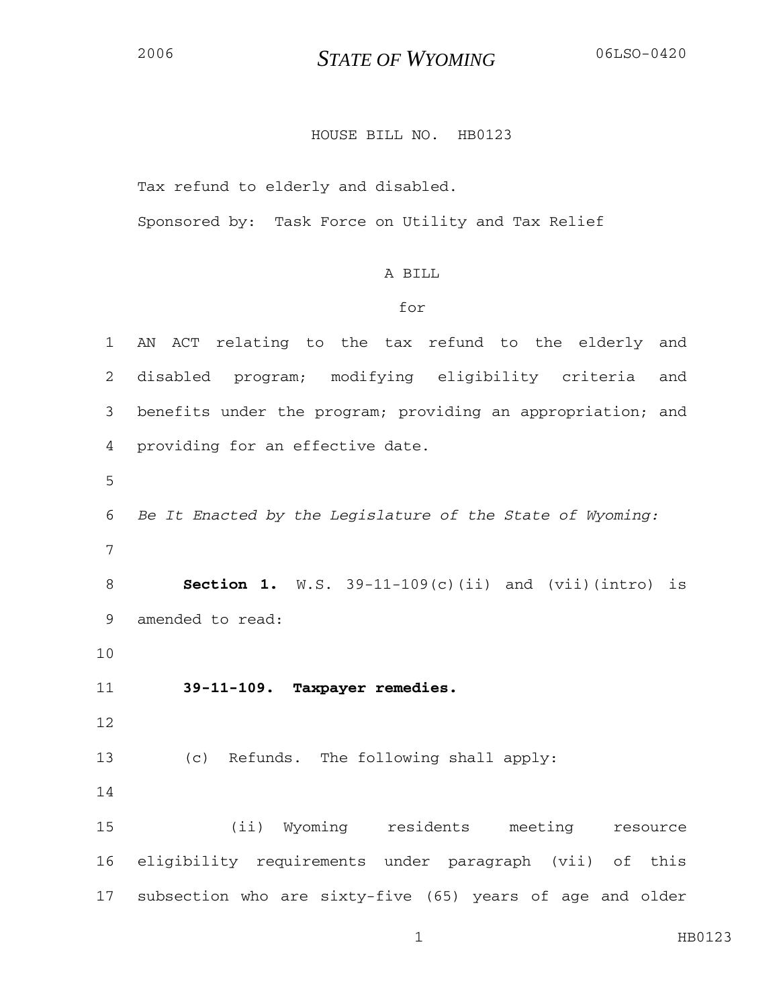## <sup>2006</sup>*STATE OF WYOMING* 06LSO-0420

## HOUSE BILL NO. HB0123

Tax refund to elderly and disabled.

Sponsored by: Task Force on Utility and Tax Relief

## A BILL

## for

| $\mathbf 1$    | AN ACT relating to the tax refund to the elderly and                 |
|----------------|----------------------------------------------------------------------|
| $\overline{2}$ | program; modifying eligibility criteria<br>disabled<br>and           |
| 3              | benefits under the program; providing an appropriation; and          |
| 4              | providing for an effective date.                                     |
| 5              |                                                                      |
| 6              | Be It Enacted by the Legislature of the State of Wyoming:            |
| 7              |                                                                      |
| 8              | <b>Section 1.</b> W.S. $39-11-109(c) (ii)$ and $(vii) (intro)$<br>is |
| $\mathsf 9$    | amended to read:                                                     |
| 10             |                                                                      |
| 11             | 39-11-109. Taxpayer remedies.                                        |
| 12             |                                                                      |
| 13             | (c) Refunds. The following shall apply:                              |
| 14             |                                                                      |
| 15             | (ii) Wyoming residents<br>meeting<br>resource                        |
| 16             | eligibility requirements under paragraph (vii) of this               |
| 17             | subsection who are sixty-five (65) years of age and older            |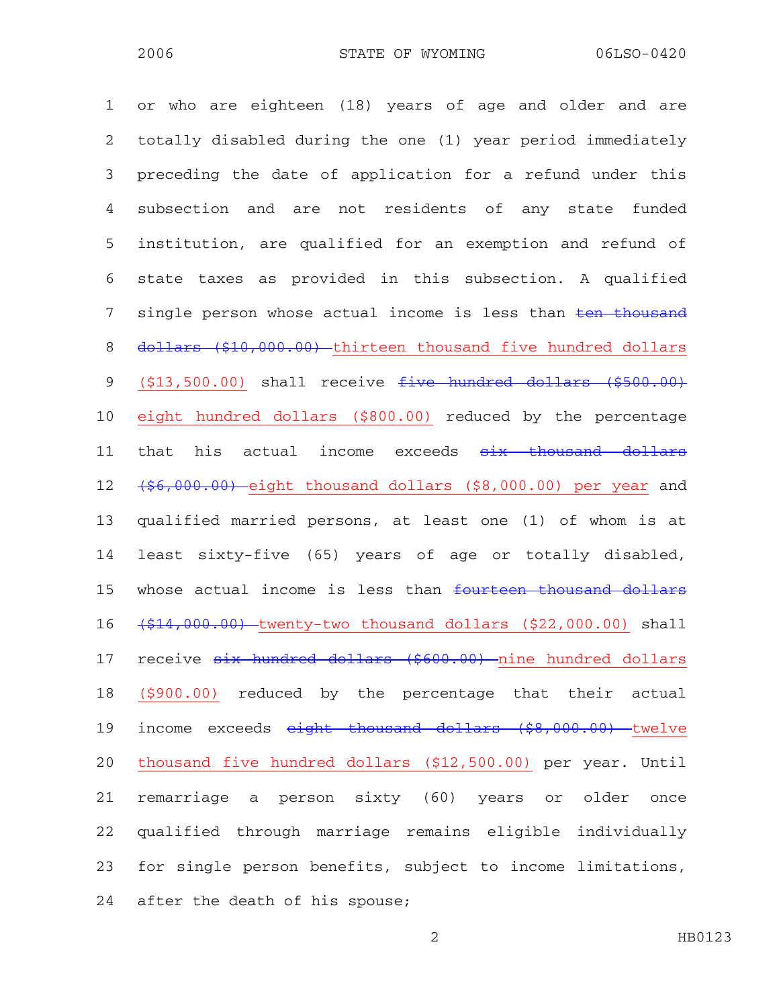1 or who are eighteen (18) years of age and older and are 2 totally disabled during the one (1) year period immediately 3 preceding the date of application for a refund under this 4 subsection and are not residents of any state funded 5 institution, are qualified for an exemption and refund of 6 state taxes as provided in this subsection. A qualified 7 single person whose actual income is less than  $\frac{1}{2}$  thousand 8 dollars (\$10,000.00) thirteen thousand five hundred dollars 9 (\$13,500.00) shall receive five hundred dollars (\$500.00) 10 eight hundred dollars (\$800.00) reduced by the percentage 11 that his actual income exceeds  $six$  thousand dollars 12 (\$6,000.00) eight thousand dollars (\$8,000.00) per year and 13 qualified married persons, at least one (1) of whom is at 14 least sixty-five (65) years of age or totally disabled, 15 whose actual income is less than fourteen thousand dollars 16 <del>(\$14,000.00)</del> twenty-two thousand dollars (\$22,000.00) shall 17 receive six hundred dollars (\$600.00) nine hundred dollars 18 (\$900.00) reduced by the percentage that their actual 19 income exceeds eight thousand dollars (\$8,000.00) twelve 20 thousand five hundred dollars (\$12,500.00) per year. Until 21 remarriage a person sixty (60) years or older once 22 qualified through marriage remains eligible individually 23 for single person benefits, subject to income limitations, 24 after the death of his spouse;

2 HB0123